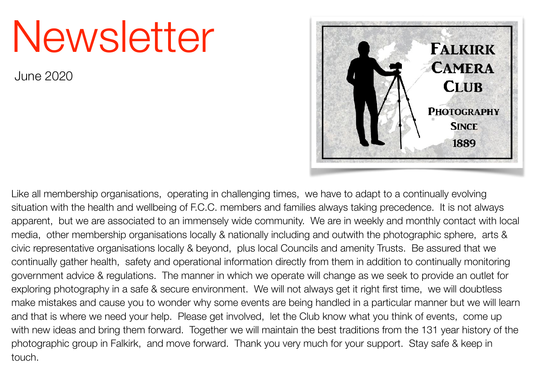# Newsletter

June 2020



Like all membership organisations, operating in challenging times, we have to adapt to a continually evolving situation with the health and wellbeing of F.C.C. members and families always taking precedence. It is not always apparent, but we are associated to an immensely wide community. We are in weekly and monthly contact with local media, other membership organisations locally & nationally including and outwith the photographic sphere, arts & civic representative organisations locally & beyond, plus local Councils and amenity Trusts. Be assured that we continually gather health, safety and operational information directly from them in addition to continually monitoring government advice & regulations. The manner in which we operate will change as we seek to provide an outlet for exploring photography in a safe & secure environment. We will not always get it right first time, we will doubtless make mistakes and cause you to wonder why some events are being handled in a particular manner but we will learn and that is where we need your help. Please get involved, let the Club know what you think of events, come up with new ideas and bring them forward. Together we will maintain the best traditions from the 131 year history of the photographic group in Falkirk, and move forward. Thank you very much for your support. Stay safe & keep in touch.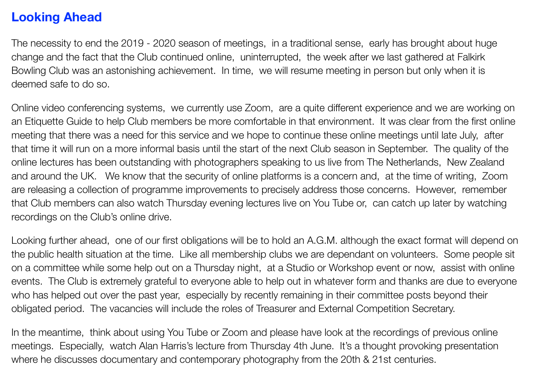## **Looking Ahead**

The necessity to end the 2019 - 2020 season of meetings, in a traditional sense, early has brought about huge change and the fact that the Club continued online, uninterrupted, the week after we last gathered at Falkirk Bowling Club was an astonishing achievement. In time, we will resume meeting in person but only when it is deemed safe to do so.

Online video conferencing systems, we currently use Zoom, are a quite different experience and we are working on an Etiquette Guide to help Club members be more comfortable in that environment. It was clear from the first online meeting that there was a need for this service and we hope to continue these online meetings until late July, after that time it will run on a more informal basis until the start of the next Club season in September. The quality of the online lectures has been outstanding with photographers speaking to us live from The Netherlands, New Zealand and around the UK. We know that the security of online platforms is a concern and, at the time of writing, Zoom are releasing a collection of programme improvements to precisely address those concerns. However, remember that Club members can also watch Thursday evening lectures live on You Tube or, can catch up later by watching recordings on the Club's online drive.

Looking further ahead, one of our first obligations will be to hold an A.G.M. although the exact format will depend on the public health situation at the time. Like all membership clubs we are dependant on volunteers. Some people sit on a committee while some help out on a Thursday night, at a Studio or Workshop event or now, assist with online events. The Club is extremely grateful to everyone able to help out in whatever form and thanks are due to everyone who has helped out over the past year, especially by recently remaining in their committee posts beyond their obligated period. The vacancies will include the roles of Treasurer and External Competition Secretary.

In the meantime, think about using You Tube or Zoom and please have look at the recordings of previous online meetings. Especially, watch Alan Harris's lecture from Thursday 4th June. It's a thought provoking presentation where he discusses documentary and contemporary photography from the 20th & 21st centuries.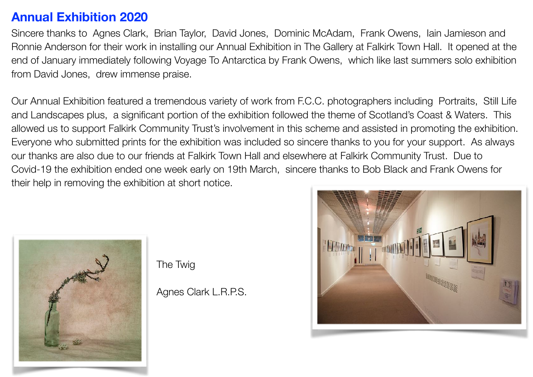## **Annual Exhibition 2020**

Sincere thanks to Agnes Clark, Brian Taylor, David Jones, Dominic McAdam, Frank Owens, Iain Jamieson and Ronnie Anderson for their work in installing our Annual Exhibition in The Gallery at Falkirk Town Hall. It opened at the end of January immediately following Voyage To Antarctica by Frank Owens, which like last summers solo exhibition from David Jones, drew immense praise.

Our Annual Exhibition featured a tremendous variety of work from F.C.C. photographers including Portraits, Still Life and Landscapes plus, a significant portion of the exhibition followed the theme of Scotland's Coast & Waters. This allowed us to support Falkirk Community Trust's involvement in this scheme and assisted in promoting the exhibition. Everyone who submitted prints for the exhibition was included so sincere thanks to you for your support. As always our thanks are also due to our friends at Falkirk Town Hall and elsewhere at Falkirk Community Trust. Due to Covid-19 the exhibition ended one week early on 19th March, sincere thanks to Bob Black and Frank Owens for their help in removing the exhibition at short notice.



The Twig

Agnes Clark L.R.P.S.

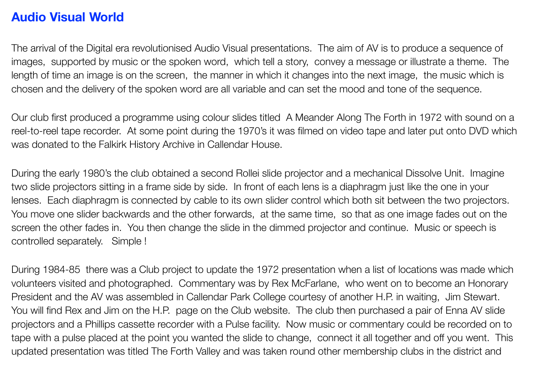## **Audio Visual World**

The arrival of the Digital era revolutionised Audio Visual presentations. The aim of AV is to produce a sequence of images, supported by music or the spoken word, which tell a story, convey a message or illustrate a theme. The length of time an image is on the screen, the manner in which it changes into the next image, the music which is chosen and the delivery of the spoken word are all variable and can set the mood and tone of the sequence.

Our club first produced a programme using colour slides titled A Meander Along The Forth in 1972 with sound on a reel-to-reel tape recorder. At some point during the 1970's it was filmed on video tape and later put onto DVD which was donated to the Falkirk History Archive in Callendar House.

During the early 1980's the club obtained a second Rollei slide projector and a mechanical Dissolve Unit. Imagine two slide projectors sitting in a frame side by side. In front of each lens is a diaphragm just like the one in your lenses. Each diaphragm is connected by cable to its own slider control which both sit between the two projectors. You move one slider backwards and the other forwards, at the same time, so that as one image fades out on the screen the other fades in. You then change the slide in the dimmed projector and continue. Music or speech is controlled separately. Simple !

During 1984-85 there was a Club project to update the 1972 presentation when a list of locations was made which volunteers visited and photographed. Commentary was by Rex McFarlane, who went on to become an Honorary President and the AV was assembled in Callendar Park College courtesy of another H.P. in waiting, Jim Stewart. You will find Rex and Jim on the H.P. page on the Club website. The club then purchased a pair of Enna AV slide projectors and a Phillips cassette recorder with a Pulse facility. Now music or commentary could be recorded on to tape with a pulse placed at the point you wanted the slide to change, connect it all together and off you went. This updated presentation was titled The Forth Valley and was taken round other membership clubs in the district and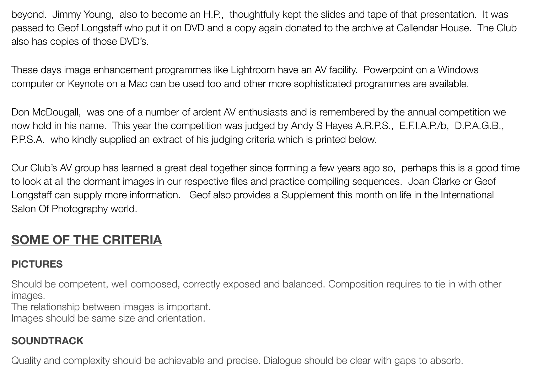beyond. Jimmy Young, also to become an H.P., thoughtfully kept the slides and tape of that presentation. It was passed to Geof Longstaff who put it on DVD and a copy again donated to the archive at Callendar House. The Club also has copies of those DVD's.

These days image enhancement programmes like Lightroom have an AV facility. Powerpoint on a Windows computer or Keynote on a Mac can be used too and other more sophisticated programmes are available.

Don McDougall, was one of a number of ardent AV enthusiasts and is remembered by the annual competition we now hold in his name. This year the competition was judged by Andy S Hayes A.R.P.S., E.F.I.A.P./b, D.P.A.G.B., P.P.S.A. who kindly supplied an extract of his judging criteria which is printed below.

Our Club's AV group has learned a great deal together since forming a few years ago so, perhaps this is a good time to look at all the dormant images in our respective files and practice compiling sequences. Joan Clarke or Geof Longstaff can supply more information. Geof also provides a Supplement this month on life in the International Salon Of Photography world.

# **SOME OF THE CRITERIA**

### **PICTURES**

Should be competent, well composed, correctly exposed and balanced. Composition requires to tie in with other images.

The relationship between images is important.

Images should be same size and orientation.

## **SOUNDTRACK**

Quality and complexity should be achievable and precise. Dialogue should be clear with gaps to absorb.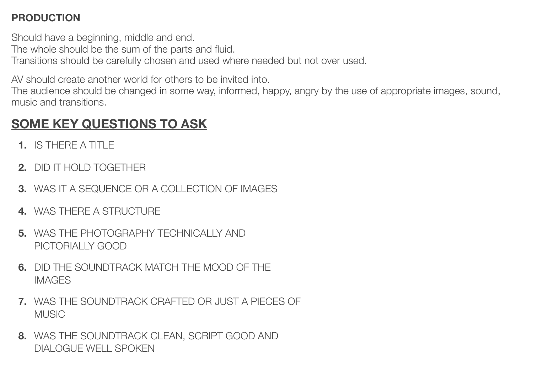#### **PRODUCTION**

Should have a beginning, middle and end. The whole should be the sum of the parts and fluid. Transitions should be carefully chosen and used where needed but not over used.

AV should create another world for others to be invited into.

The audience should be changed in some way, informed, happy, angry by the use of appropriate images, sound, music and transitions.

# **SOME KEY QUESTIONS TO ASK**

- **1.** IS THERE A TITLE
- **2.** DID IT HOLD TOGETHER
- **3.** WAS IT A SEQUENCE OR A COLLECTION OF IMAGES
- **4.** WAS THERE A STRUCTURE
- **5.** WAS THE PHOTOGRAPHY TECHNICALLY AND PICTORIALLY GOOD
- **6.** DID THE SOUNDTRACK MATCH THE MOOD OF THE IMAGES
- **7.** WAS THE SOUNDTRACK CRAFTED OR JUST A PIECES OF MUSIC
- **8.** WAS THE SOUNDTRACK CLEAN, SCRIPT GOOD AND DIALOGUE WELL SPOKEN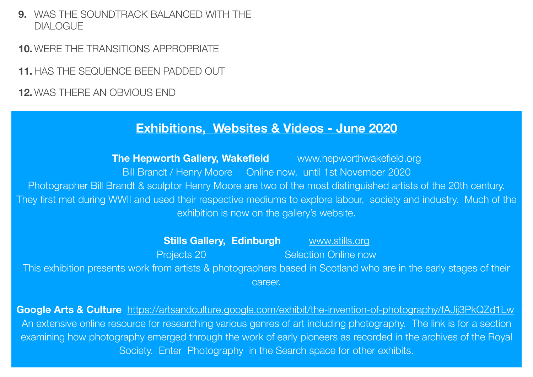**9.** WAS THE SOUNDTRACK BALANCED WITH THE DIALOGUE

**10. WERE THE TRANSITIONS APPROPRIATE** 

**11.** HAS THE SEQUENCE BEEN PADDED OUT

**12.** WAS THERE AN OBVIOUS END

## **Exhibitions, Websites & Videos - June 2020**

**The Hepworth Gallery, Wakefield** [www.hepworthwakefield.org](http://www.hepworthwakefield.org) Bill Brandt / Henry Moore Online now, until 1st November 2020 Photographer Bill Brandt & sculptor Henry Moore are two of the most distinguished artists of the 20th century. They first met during WWII and used their respective mediums to explore labour, society and industry. Much of the exhibition is now on the gallery's website.

**Stills Gallery, Edinburgh WWW.stills.org Projects 20 CONFIDENTIFY Selection Online now** This exhibition presents work from artists & photographers based in Scotland who are in the early stages of their career.

**Google Arts & Culture** <https://artsandculture.google.com/exhibit/the-invention-of-photography/fAJij3PkQZd1Lw> An extensive online resource for researching various genres of art including photography. The link is for a section examining how photography emerged through the work of early pioneers as recorded in the archives of the Royal Society. Enter Photography in the Search space for other exhibits.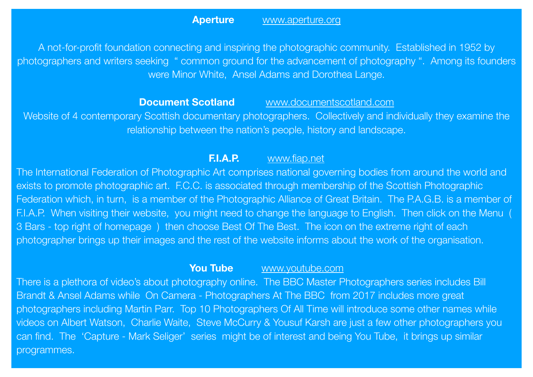A not-for-profit foundation connecting and inspiring the photographic community. Established in 1952 by photographers and writers seeking " common ground for the advancement of photography ". Among its founders were Minor White, Ansel Adams and Dorothea Lange.

#### **Document Scotland WWW.documentscotland.com**

Website of 4 contemporary Scottish documentary photographers. Collectively and individually they examine the relationship between the nation's people, history and landscape.

#### **F.I.A.P.** [www.fiap.net](http://www.fiap.net)

The International Federation of Photographic Art comprises national governing bodies from around the world and exists to promote photographic art. F.C.C. is associated through membership of the Scottish Photographic Federation which, in turn, is a member of the Photographic Alliance of Great Britain. The P.A.G.B. is a member of F.I.A.P. When visiting their website, you might need to change the language to English. Then click on the Menu ( 3 Bars - top right of homepage ) then choose Best Of The Best. The icon on the extreme right of each photographer brings up their images and the rest of the website informs about the work of the organisation.

#### **You Tube [www.youtube.com](http://www.youtube.com)**

There is a plethora of video's about photography online. The BBC Master Photographers series includes Bill Brandt & Ansel Adams while On Camera - Photographers At The BBC from 2017 includes more great photographers including Martin Parr. Top 10 Photographers Of All Time will introduce some other names while videos on Albert Watson, Charlie Waite, Steve McCurry & Yousuf Karsh are just a few other photographers you can find. The 'Capture - Mark Seliger' series might be of interest and being You Tube, it brings up similar programmes.